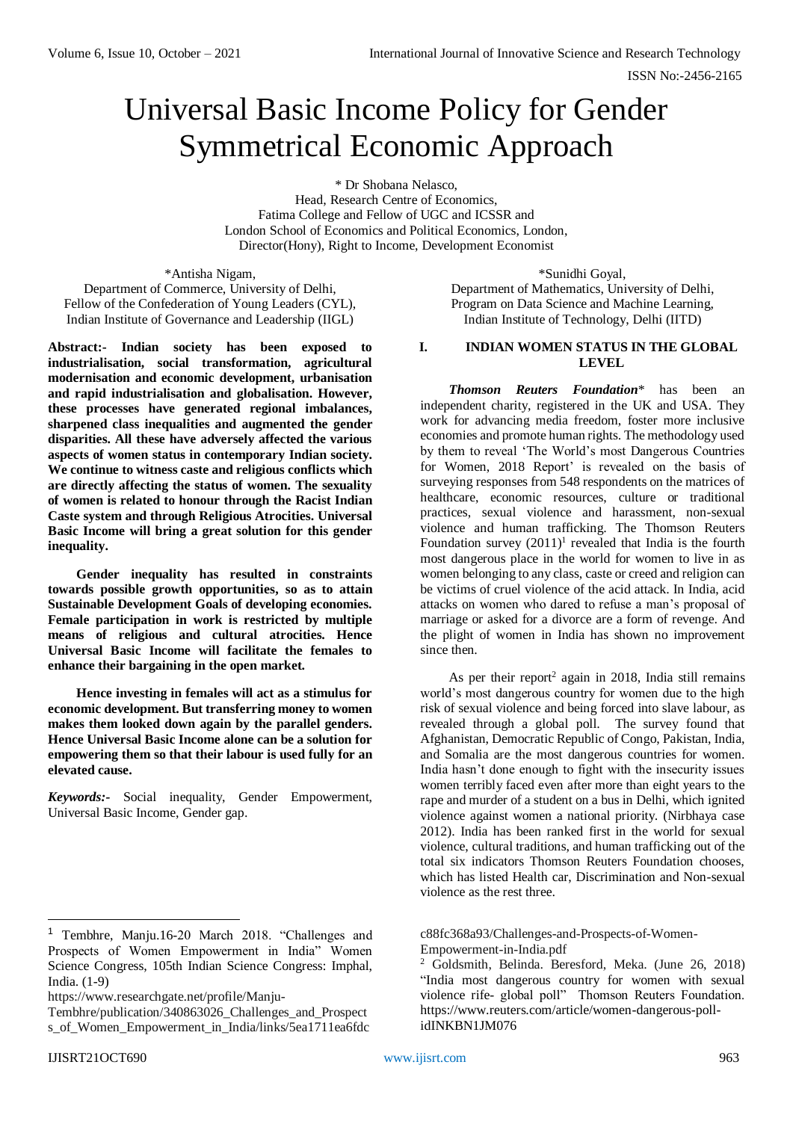# Universal Basic Income Policy for Gender Symmetrical Economic Approach

\* Dr Shobana Nelasco,

Head, Research Centre of Economics, Fatima College and Fellow of UGC and ICSSR and London School of Economics and Political Economics, London, Director(Hony), Right to Income, Development Economist

\*Antisha Nigam, Department of Commerce, University of Delhi, Fellow of the Confederation of Young Leaders (CYL), Indian Institute of Governance and Leadership (IIGL)

**Abstract:- Indian society has been exposed to industrialisation, social transformation, agricultural modernisation and economic development, urbanisation and rapid industrialisation and globalisation. However, these processes have generated regional imbalances, sharpened class inequalities and augmented the gender disparities. All these have adversely affected the various aspects of women status in contemporary Indian society. We continue to witness caste and religious conflicts which are directly affecting the status of women. The sexuality of women is related to honour through the Racist Indian Caste system and through Religious Atrocities. Universal Basic Income will bring a great solution for this gender inequality.**

**Gender inequality has resulted in constraints towards possible growth opportunities, so as to attain Sustainable Development Goals of developing economies. Female participation in work is restricted by multiple means of religious and cultural atrocities. Hence Universal Basic Income will facilitate the females to enhance their bargaining in the open market.**

**Hence investing in females will act as a stimulus for economic development. But transferring money to women makes them looked down again by the parallel genders. Hence Universal Basic Income alone can be a solution for empowering them so that their labour is used fully for an elevated cause.** 

*Keywords:-* Social inequality, Gender Empowerment, Universal Basic Income, Gender gap.

-

\*Sunidhi Goyal, Department of Mathematics, University of Delhi, Program on Data Science and Machine Learning, Indian Institute of Technology, Delhi (IITD)

# **I. INDIAN WOMEN STATUS IN THE GLOBAL LEVEL**

*Thomson Reuters Foundation*\* has been an independent charity, registered in the UK and USA. They work for advancing media freedom, foster more inclusive economies and promote human rights. The methodology used by them to reveal 'The World's most Dangerous Countries for Women, 2018 Report' is revealed on the basis of surveying responses from 548 respondents on the matrices of healthcare, economic resources, culture or traditional practices, sexual violence and harassment, non-sexual violence and human trafficking. The Thomson Reuters Foundation survey  $(2011)^1$  revealed that India is the fourth most dangerous place in the world for women to live in as women belonging to any class, caste or creed and religion can be victims of cruel violence of the acid attack. In India, acid attacks on women who dared to refuse a man's proposal of marriage or asked for a divorce are a form of revenge. And the plight of women in India has shown no improvement since then.

As per their report<sup>2</sup> again in 2018, India still remains world's most dangerous country for women due to the high risk of sexual violence and being forced into slave labour, as revealed through a global poll. The survey found that Afghanistan, Democratic Republic of Congo, Pakistan, India, and Somalia are the most dangerous countries for women. India hasn't done enough to fight with the insecurity issues women terribly faced even after more than eight years to the rape and murder of a student on a bus in Delhi, which ignited violence against women a national priority. (Nirbhaya case 2012). India has been ranked first in the world for sexual violence, cultural traditions, and human trafficking out of the total six indicators Thomson Reuters Foundation chooses, which has listed Health car, Discrimination and Non-sexual violence as the rest three.

[c88fc368a93/Challenges-and-Prospects-of-Women-](https://www.researchgate.net/profile/Manju-Tembhre/publication/340863026_Challenges_and_Prospects_of_Women_Empowerment_in_India/links/5ea1711ea6fdcc88fc368a93/Challenges-and-Prospects-of-Women-Empowerment-in-India.pdf)[Empowerment-in-India.pdf](https://www.researchgate.net/profile/Manju-Tembhre/publication/340863026_Challenges_and_Prospects_of_Women_Empowerment_in_India/links/5ea1711ea6fdcc88fc368a93/Challenges-and-Prospects-of-Women-Empowerment-in-India.pdf)

<sup>1</sup> Tembhre, Manju.16-20 March 2018. "Challenges and Prospects of Women Empowerment in India" Women Science Congress, 105th Indian Science Congress: Imphal, India. (1-9)

[https://www.researchgate.net/profile/Manju-](https://www.researchgate.net/profile/Manju-Tembhre/publication/340863026_Challenges_and_Prospects_of_Women_Empowerment_in_India/links/5ea1711ea6fdcc88fc368a93/Challenges-and-Prospects-of-Women-Empowerment-in-India.pdf)

[Tembhre/publication/340863026\\_Challenges\\_and\\_Prospect](https://www.researchgate.net/profile/Manju-Tembhre/publication/340863026_Challenges_and_Prospects_of_Women_Empowerment_in_India/links/5ea1711ea6fdcc88fc368a93/Challenges-and-Prospects-of-Women-Empowerment-in-India.pdf) [s\\_of\\_Women\\_Empowerment\\_in\\_India/links/5ea1711ea6fdc](https://www.researchgate.net/profile/Manju-Tembhre/publication/340863026_Challenges_and_Prospects_of_Women_Empowerment_in_India/links/5ea1711ea6fdcc88fc368a93/Challenges-and-Prospects-of-Women-Empowerment-in-India.pdf)

<sup>2</sup> Goldsmith, Belinda. Beresford, Meka. (June 26, 2018) "India most dangerous country for women with sexual violence rife- global poll" Thomson Reuters Foundation. [https://www.reuters.com/article/women-dangerous-poll](https://www.reuters.com/article/women-dangerous-poll-idINKBN1JM076)[idINKBN1JM076](https://www.reuters.com/article/women-dangerous-poll-idINKBN1JM076)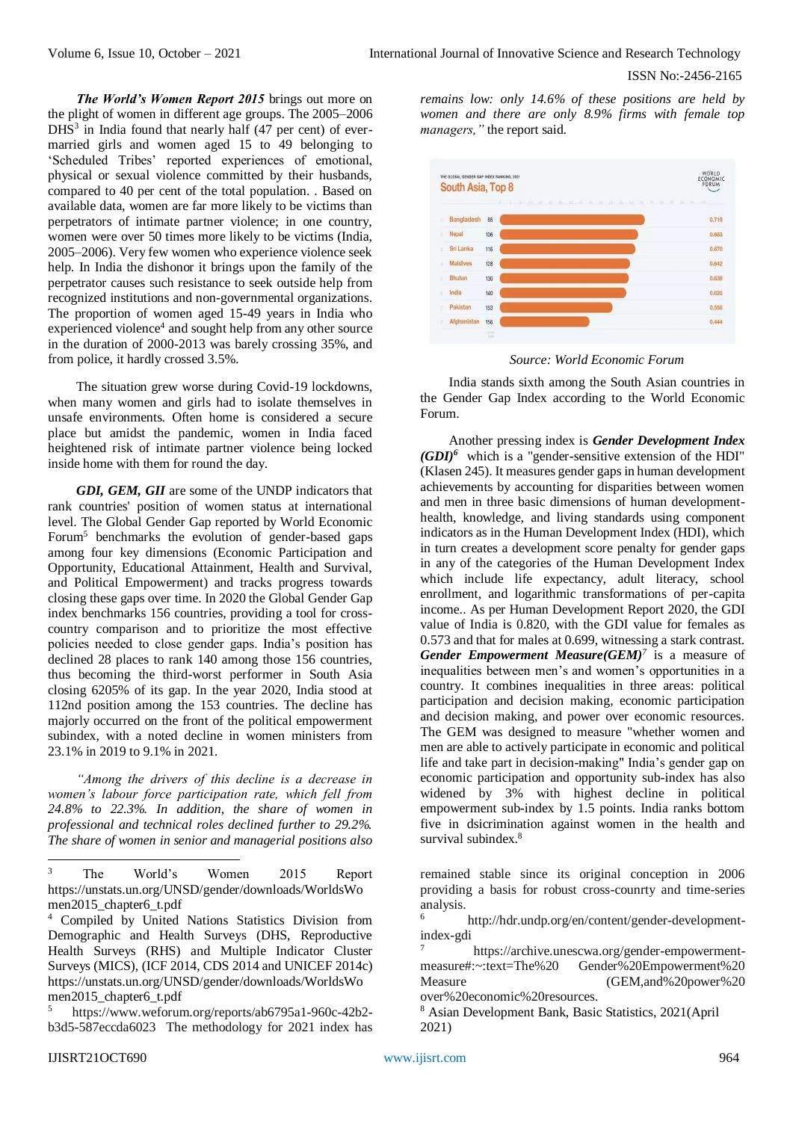*The World's Women Report 2015* brings out more on the plight of women in different age groups. The 2005–2006 DHS<sup>3</sup> in India found that nearly half (47 per cent) of evermarried girls and women aged 15 to 49 belonging to 'Scheduled Tribes' reported experiences of emotional, physical or sexual violence committed by their husbands, compared to 40 per cent of the total population. . Based on available data, women are far more likely to be victims than perpetrators of intimate partner violence; in one country, women were over 50 times more likely to be victims (India, 2005–2006). Very few women who experience violence seek help. In India the dishonor it brings upon the family of the perpetrator causes such resistance to seek outside help from recognized institutions and non-governmental organizations. The proportion of women aged 15-49 years in India who experienced violence<sup>4</sup> and sought help from any other source in the duration of 2000-2013 was barely crossing 35%, and from police, it hardly crossed 3.5%.

The situation grew worse during Covid-19 lockdowns, when many women and girls had to isolate themselves in unsafe environments. Often home is considered a secure place but amidst the pandemic, women in India faced heightened risk of intimate partner violence being locked inside home with them for round the day.

*GDI, GEM, GII* are some of the UNDP indicators that rank countries' position of women status at international level. The Global Gender Gap reported by World Economic Forum<sup>5</sup> benchmarks the evolution of gender-based gaps among four key dimensions (Economic Participation and Opportunity, Educational Attainment, Health and Survival, and Political Empowerment) and tracks progress towards closing these gaps over time. In 2020 the Global Gender Gap index benchmarks 156 countries, providing a tool for crosscountry comparison and to prioritize the most effective policies needed to close gender gaps. India's position has declined 28 places to rank 140 among those 156 countries, thus becoming the third-worst performer in South Asia closing 6205% of its gap. In the year 2020, India stood at 112nd position among the 153 countries. The decline has majorly occurred on the front of the political empowerment subindex, with a noted decline in women ministers from 23.1% in 2019 to 9.1% in 2021.

*"Among the drivers of this decline is a decrease in women's labour force participation rate, which fell from 24.8% to 22.3%. In addition, the share of women in professional and technical roles declined further to 29.2%. The share of women in senior and managerial positions also* 

<sup>5</sup> [https://www.weforum.org/reports/ab6795a1-960c-42b2](https://www.weforum.org/reports/ab6795a1-960c-42b2-b3d5-587eccda6023) [b3d5-587eccda6023](https://www.weforum.org/reports/ab6795a1-960c-42b2-b3d5-587eccda6023) The methodology for 2021 index has *remains low: only 14.6% of these positions are held by women and there are only 8.9% firms with female top managers,"* the report said.



*Source: World Economic Forum*

India stands sixth among the South Asian countries in the Gender Gap Index according to the World Economic Forum.

Another pressing index is *Gender Development Index (GDI)<sup>6</sup>* which is a "gender-sensitive extension of the HDI" (Klasen 245). It measures gender gaps in human development achievements by accounting for disparities between women and men in three basic dimensions of human developmenthealth, knowledge, and living standards using component indicators as in the Human Development Index (HDI), which in turn creates a development score penalty for gender gaps in any of the categories of the Human Development Index which include life expectancy, adult literacy, school enrollment, and logarithmic transformations of per-capita income.. As per Human Development Report 2020, the GDI value of India is 0.820, with the GDI value for females as 0.573 and that for males at 0.699, witnessing a stark contrast. *Gender Empowerment Measure(GEM)<sup>7</sup>* is a measure of inequalities between men's and women's opportunities in a country. It combines inequalities in three areas: political participation and decision making, economic participation and decision making, and power over economic resources. The GEM was designed to measure "whether women and men are able to actively participate in economic and political life and take part in decision-making" India's gender gap on economic participation and opportunity sub-index has also widened by 3% with highest decline in political empowerment sub-index by 1.5 points. India ranks bottom five in dsicrimination against women in the health and survival subindex.<sup>8</sup>

remained stable since its original conception in 2006 providing a basis for robust cross-counrty and time-series analysis.

6 [http://hdr.undp.org/en/content/gender-development](http://hdr.undp.org/en/content/gender-development-index-gdi)[index-gdi](http://hdr.undp.org/en/content/gender-development-index-gdi)

[https://archive.unescwa.org/gender-empowerment](https://archive.unescwa.org/gender-empowerment-measure#:~:text=The%20Gender%20Empowerment%20Measure)[measure#:~:text=The%20 Gender%20Empowerment%20](https://archive.unescwa.org/gender-empowerment-measure#:~:text=The%20Gender%20Empowerment%20Measure)  [Measure](https://archive.unescwa.org/gender-empowerment-measure#:~:text=The%20Gender%20Empowerment%20Measure) (GEM, and % 20 power % 20 over%20economic%20resources.

<sup>8</sup> Asian Development Bank, Basic Statistics, 2021(April 2021)

 $\overline{\mathbf{3}}$ The World's Women 2015 Report https://unstats.un.org/UNSD/gender/downloads/WorldsWo men2015\_chapter6\_t.pdf

<sup>4</sup> Compiled by United Nations Statistics Division from Demographic and Health Surveys (DHS, Reproductive Health Surveys (RHS) and Multiple Indicator Cluster Surveys (MICS), (ICF 2014, CDS 2014 and UNICEF 2014c) https://unstats.un.org/UNSD/gender/downloads/WorldsWo men2015\_chapter6\_t.pdf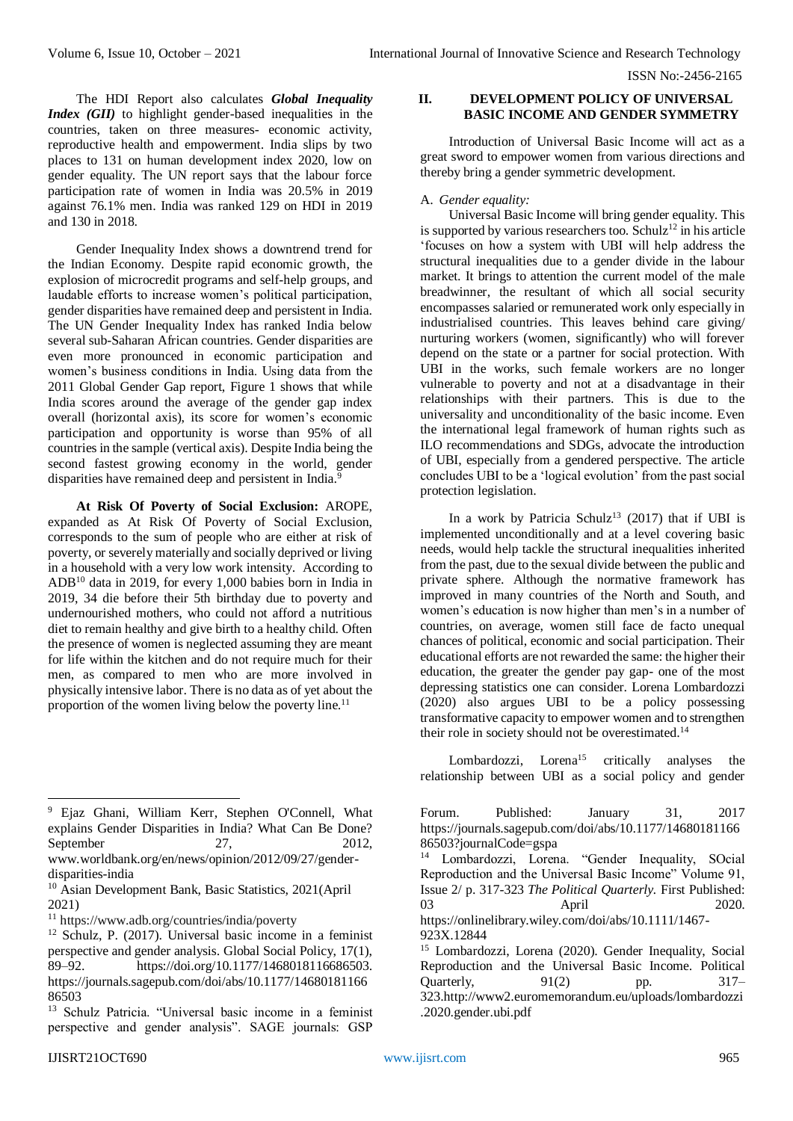The HDI Report also calculates *Global Inequality Index (GII)* to highlight gender-based inequalities in the countries, taken on three measures- economic activity, reproductive health and empowerment. India slips by two places to 131 on human development index 2020, low on gender equality. The UN report says that the labour force participation rate of women in India was 20.5% in 2019 against 76.1% men. India was ranked 129 on HDI in 2019 and 130 in 2018.

Gender Inequality Index shows a downtrend trend for the Indian Economy. Despite rapid economic growth, the explosion of microcredit programs and self-help groups, and laudable efforts to increase women's political participation, gender disparities have remained deep and persistent in India. The UN Gender Inequality Index has ranked India below several sub-Saharan African countries. Gender disparities are even more pronounced in economic participation and women's business conditions in India. Using data from the 2011 Global Gender Gap report, Figure 1 shows that while India scores around the average of the gender gap index overall (horizontal axis), its score for women's economic participation and opportunity is worse than 95% of all countries in the sample (vertical axis). Despite India being the second fastest growing economy in the world, gender disparities have remained deep and persistent in India.<sup>9</sup>

**At Risk Of Poverty of Social Exclusion:** AROPE, expanded as At Risk Of Poverty of Social Exclusion, corresponds to the sum of people who are either at risk of poverty, or severely materially and socially deprived or living in a household with a very low work intensity. According to ADB<sup>10</sup> data in 2019, for every 1,000 babies born in India in 2019, 34 die before their 5th birthday due to poverty and undernourished mothers, who could not afford a nutritious diet to remain healthy and give birth to a healthy child. Often the presence of women is neglected assuming they are meant for life within the kitchen and do not require much for their men, as compared to men who are more involved in physically intensive labor. There is no data as of yet about the proportion of the women living below the poverty line.<sup>11</sup>

# **II. DEVELOPMENT POLICY OF UNIVERSAL BASIC INCOME AND GENDER SYMMETRY**

Introduction of Universal Basic Income will act as a great sword to empower women from various directions and thereby bring a gender symmetric development.

#### A. *Gender equality:*

Universal Basic Income will bring gender equality. This is supported by various researchers too. Schulz<sup>12</sup> in his article 'focuses on how a system with UBI will help address the structural inequalities due to a gender divide in the labour market. It brings to attention the current model of the male breadwinner, the resultant of which all social security encompasses salaried or remunerated work only especially in industrialised countries. This leaves behind care giving/ nurturing workers (women, significantly) who will forever depend on the state or a partner for social protection. With UBI in the works, such female workers are no longer vulnerable to poverty and not at a disadvantage in their relationships with their partners. This is due to the universality and unconditionality of the basic income. Even the international legal framework of human rights such as ILO recommendations and SDGs, advocate the introduction of UBI, especially from a gendered perspective. The article concludes UBI to be a 'logical evolution' from the past social protection legislation.

In a work by Patricia Schulz<sup>13</sup> (2017) that if UBI is implemented unconditionally and at a level covering basic needs, would help tackle the structural inequalities inherited from the past, due to the sexual divide between the public and private sphere. Although the normative framework has improved in many countries of the North and South, and women's education is now higher than men's in a number of countries, on average, women still face de facto unequal chances of political, economic and social participation. Their educational efforts are not rewarded the same: the higher their education, the greater the gender pay gap- one of the most depressing statistics one can consider. Lorena Lombardozzi (2020) also argues UBI to be a policy possessing transformative capacity to empower women and to strengthen their role in society should not be overestimated. $14$ 

Lombardozzi, Lorena<sup>15</sup> critically analyses the relationship between UBI as a social policy and gender

<sup>-</sup><sup>9</sup> Ejaz Ghani, William Kerr, Stephen O'Connell, What explains Gender Disparities in India? What Can Be Done? September 27, 2012,

www.worldbank.org/en/news/opinion/2012/09/27/genderdisparities-india

<sup>10</sup> Asian Development Bank, Basic Statistics, 2021(April 2021)

<sup>11</sup> <https://www.adb.org/countries/india/poverty>

<sup>&</sup>lt;sup>12</sup> Schulz, P. (2017). Universal basic income in a feminist perspective and gender analysis. Global Social Policy, 17(1), 89–92. https://doi.org/10.1177/1468018116686503. https://journals.sagepub.com/doi/abs/10.1177/14680181166 86503

<sup>13</sup> Schulz Patricia. "Universal basic income in a feminist perspective and gender analysis". SAGE journals: GSP

Forum. Published: January 31, 2017 [https://journals.sagepub.com/doi/abs/10.1177/14680181166](https://journals.sagepub.com/doi/abs/10.1177/1468018116686503?journalCode=gspa) [86503?journalCode=gspa](https://journals.sagepub.com/doi/abs/10.1177/1468018116686503?journalCode=gspa)

Lombardozzi, Lorena. "Gender Inequality, SOcial Reproduction and the Universal Basic Income" Volume 91, Issue 2/ p. 317-323 *The Political Quarterly.* First Published: 03 April 2020. https://onlinelibrary.wiley.com/doi/abs/10.1111/1467-

<sup>923</sup>X.12844

<sup>15</sup> Lombardozzi, Lorena (2020). Gender Inequality, Social Reproduction and the Universal Basic Income. Political Quarterly,  $91(2)$  pp.  $317-$ 323.http://www2.euromemorandum.eu/uploads/lombardozzi .2020.gender.ubi.pdf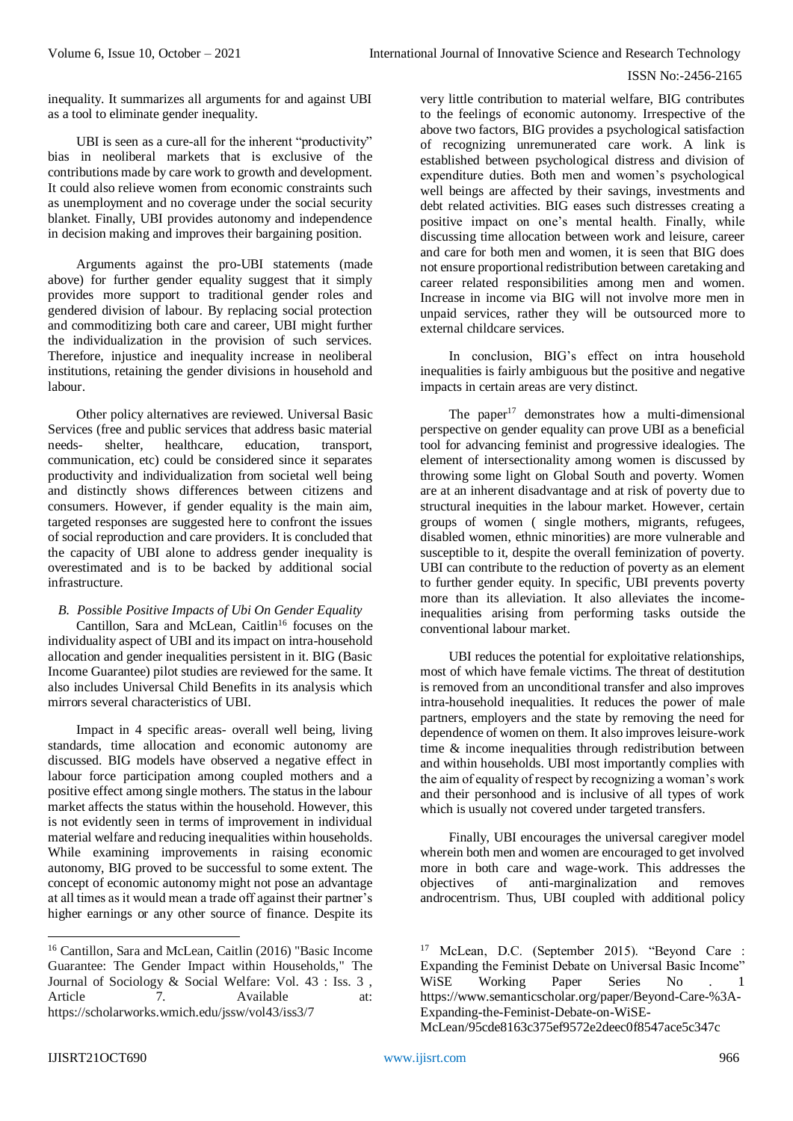inequality. It summarizes all arguments for and against UBI as a tool to eliminate gender inequality.

UBI is seen as a cure-all for the inherent "productivity" bias in neoliberal markets that is exclusive of the contributions made by care work to growth and development. It could also relieve women from economic constraints such as unemployment and no coverage under the social security blanket. Finally, UBI provides autonomy and independence in decision making and improves their bargaining position.

Arguments against the pro-UBI statements (made above) for further gender equality suggest that it simply provides more support to traditional gender roles and gendered division of labour. By replacing social protection and commoditizing both care and career, UBI might further the individualization in the provision of such services. Therefore, injustice and inequality increase in neoliberal institutions, retaining the gender divisions in household and labour.

Other policy alternatives are reviewed. Universal Basic Services (free and public services that address basic material needs- shelter, healthcare, education, transport, communication, etc) could be considered since it separates productivity and individualization from societal well being and distinctly shows differences between citizens and consumers. However, if gender equality is the main aim, targeted responses are suggested here to confront the issues of social reproduction and care providers. It is concluded that the capacity of UBI alone to address gender inequality is overestimated and is to be backed by additional social infrastructure.

*B. Possible Positive Impacts of Ubi On Gender Equality*

Cantillon, Sara and McLean, Caitlin<sup>16</sup> focuses on the individuality aspect of UBI and its impact on intra-household allocation and gender inequalities persistent in it. BIG (Basic Income Guarantee) pilot studies are reviewed for the same. It also includes Universal Child Benefits in its analysis which mirrors several characteristics of UBI.

Impact in 4 specific areas- overall well being, living standards, time allocation and economic autonomy are discussed. BIG models have observed a negative effect in labour force participation among coupled mothers and a positive effect among single mothers. The status in the labour market affects the status within the household. However, this is not evidently seen in terms of improvement in individual material welfare and reducing inequalities within households. While examining improvements in raising economic autonomy, BIG proved to be successful to some extent. The concept of economic autonomy might not pose an advantage at all times as it would mean a trade off against their partner's higher earnings or any other source of finance. Despite its

very little contribution to material welfare, BIG contributes to the feelings of economic autonomy. Irrespective of the above two factors, BIG provides a psychological satisfaction of recognizing unremunerated care work. A link is established between psychological distress and division of expenditure duties. Both men and women's psychological well beings are affected by their savings, investments and debt related activities. BIG eases such distresses creating a positive impact on one's mental health. Finally, while discussing time allocation between work and leisure, career and care for both men and women, it is seen that BIG does not ensure proportional redistribution between caretaking and career related responsibilities among men and women. Increase in income via BIG will not involve more men in unpaid services, rather they will be outsourced more to external childcare services.

In conclusion, BIG's effect on intra household inequalities is fairly ambiguous but the positive and negative impacts in certain areas are very distinct.

The paper $17$  demonstrates how a multi-dimensional perspective on gender equality can prove UBI as a beneficial tool for advancing feminist and progressive idealogies. The element of intersectionality among women is discussed by throwing some light on Global South and poverty. Women are at an inherent disadvantage and at risk of poverty due to structural inequities in the labour market. However, certain groups of women ( single mothers, migrants, refugees, disabled women, ethnic minorities) are more vulnerable and susceptible to it, despite the overall feminization of poverty. UBI can contribute to the reduction of poverty as an element to further gender equity. In specific, UBI prevents poverty more than its alleviation. It also alleviates the incomeinequalities arising from performing tasks outside the conventional labour market.

UBI reduces the potential for exploitative relationships, most of which have female victims. The threat of destitution is removed from an unconditional transfer and also improves intra-household inequalities. It reduces the power of male partners, employers and the state by removing the need for dependence of women on them. It also improves leisure-work time & income inequalities through redistribution between and within households. UBI most importantly complies with the aim of equality of respect by recognizing a woman's work and their personhood and is inclusive of all types of work which is usually not covered under targeted transfers.

Finally, UBI encourages the universal caregiver model wherein both men and women are encouraged to get involved more in both care and wage-work. This addresses the objectives of anti-marginalization and removes androcentrism. Thus, UBI coupled with additional policy

McLean/95cde8163c375ef9572e2deec0f8547ace5c347c

<sup>16</sup> Cantillon, Sara and McLean, Caitlin (2016) "Basic Income Guarantee: The Gender Impact within Households," The Journal of Sociology & Social Welfare: Vol. 43 : Iss. 3 , Article 7. Available at: <https://scholarworks.wmich.edu/jssw/vol43/iss3/7>

<sup>17</sup> McLean, D.C. (September 2015). "Beyond Care : Expanding the Feminist Debate on Universal Basic Income" WiSE Working Paper Series No . 1 https://www.semanticscholar.org/paper/Beyond-Care-%3A-Expanding-the-Feminist-Debate-on-WiSE-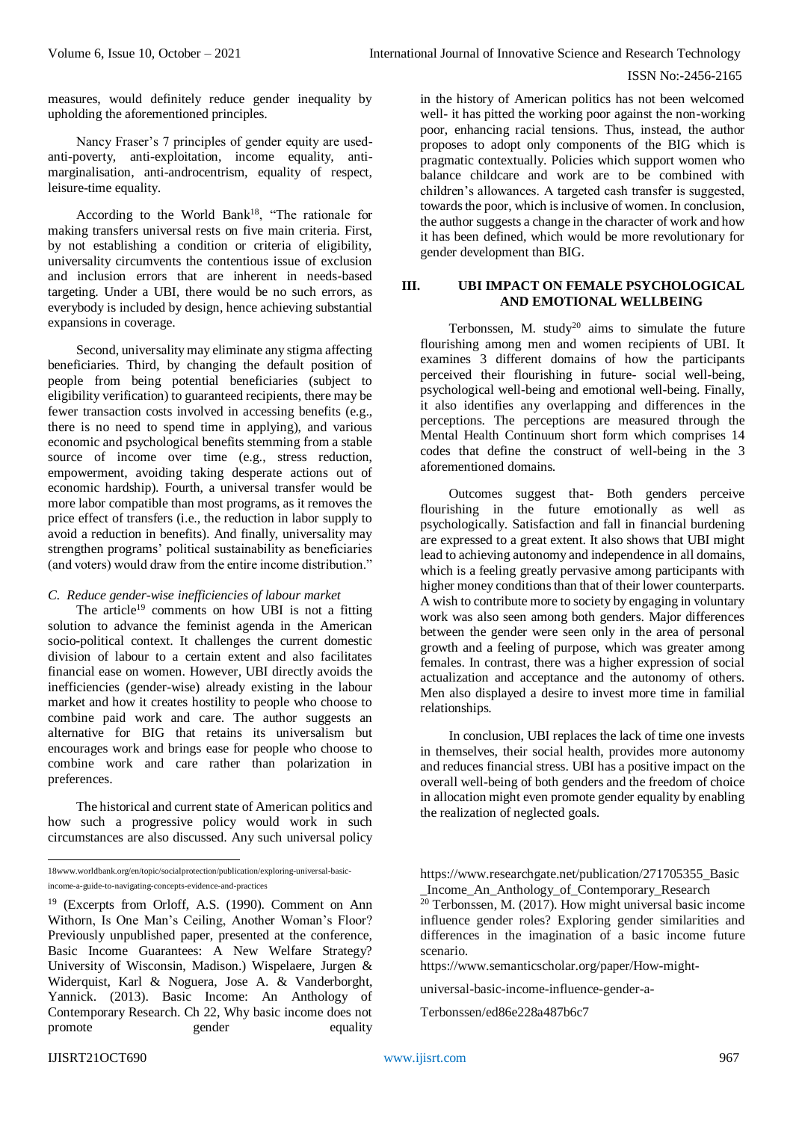measures, would definitely reduce gender inequality by upholding the aforementioned principles.

Nancy Fraser's 7 principles of gender equity are usedanti-poverty, anti-exploitation, income equality, antimarginalisation, anti-androcentrism, equality of respect, leisure-time equality.

According to the World Bank<sup>18</sup>, "The rationale for making transfers universal rests on five main criteria. First, by not establishing a condition or criteria of eligibility, universality circumvents the contentious issue of exclusion and inclusion errors that are inherent in needs-based targeting. Under a UBI, there would be no such errors, as everybody is included by design, hence achieving substantial expansions in coverage.

Second, universality may eliminate any stigma affecting beneficiaries. Third, by changing the default position of people from being potential beneficiaries (subject to eligibility verification) to guaranteed recipients, there may be fewer transaction costs involved in accessing benefits (e.g., there is no need to spend time in applying), and various economic and psychological benefits stemming from a stable source of income over time (e.g., stress reduction, empowerment, avoiding taking desperate actions out of economic hardship). Fourth, a universal transfer would be more labor compatible than most programs, as it removes the price effect of transfers (i.e., the reduction in labor supply to avoid a reduction in benefits). And finally, universality may strengthen programs' political sustainability as beneficiaries (and voters) would draw from the entire income distribution."

*C. Reduce gender-wise inefficiencies of labour market*

The article<sup>19</sup> comments on how UBI is not a fitting solution to advance the feminist agenda in the American socio-political context. It challenges the current domestic division of labour to a certain extent and also facilitates financial ease on women. However, UBI directly avoids the inefficiencies (gender-wise) already existing in the labour market and how it creates hostility to people who choose to combine paid work and care. The author suggests an alternative for BIG that retains its universalism but encourages work and brings ease for people who choose to combine work and care rather than polarization in preferences.

The historical and current state of American politics and how such a progressive policy would work in such circumstances are also discussed. Any such universal policy

in the history of American politics has not been welcomed well- it has pitted the working poor against the non-working poor, enhancing racial tensions. Thus, instead, the author proposes to adopt only components of the BIG which is pragmatic contextually. Policies which support women who balance childcare and work are to be combined with children's allowances. A targeted cash transfer is suggested, towards the poor, which is inclusive of women. In conclusion, the author suggests a change in the character of work and how it has been defined, which would be more revolutionary for gender development than BIG.

### **III. UBI IMPACT ON FEMALE PSYCHOLOGICAL AND EMOTIONAL WELLBEING**

Terbonssen, M. study<sup>20</sup> aims to simulate the future flourishing among men and women recipients of UBI. It examines 3 different domains of how the participants perceived their flourishing in future- social well-being, psychological well-being and emotional well-being. Finally, it also identifies any overlapping and differences in the perceptions. The perceptions are measured through the Mental Health Continuum short form which comprises 14 codes that define the construct of well-being in the 3 aforementioned domains.

Outcomes suggest that- Both genders perceive flourishing in the future emotionally as well as psychologically. Satisfaction and fall in financial burdening are expressed to a great extent. It also shows that UBI might lead to achieving autonomy and independence in all domains, which is a feeling greatly pervasive among participants with higher money conditions than that of their lower counterparts. A wish to contribute more to society by engaging in voluntary work was also seen among both genders. Major differences between the gender were seen only in the area of personal growth and a feeling of purpose, which was greater among females. In contrast, there was a higher expression of social actualization and acceptance and the autonomy of others. Men also displayed a desire to invest more time in familial relationships.

In conclusion, UBI replaces the lack of time one invests in themselves, their social health, provides more autonomy and reduces financial stress. UBI has a positive impact on the overall well-being of both genders and the freedom of choice in allocation might even promote gender equality by enabling the realization of neglected goals.

[https://www.researchgate.net/publication/271705355\\_Basic](https://www.researchgate.net/publication/271705355_Basic_Income_An_Anthology_of_Contemporary_Research) [\\_Income\\_An\\_Anthology\\_of\\_Contemporary\\_Research](https://www.researchgate.net/publication/271705355_Basic_Income_An_Anthology_of_Contemporary_Research)

 $20$  Terbonssen, M. (2017). How might universal basic income influence gender roles? Exploring gender similarities and differences in the imagination of a basic income future scenario.

[https://www.semanticscholar.org/paper/How-might-](https://www.semanticscholar.org/paper/How-might-universal-basic-income-influence-gender-a-Terbonssen/ed86e228a487b6c7)

[universal-basic-income-influence-gender-a-](https://www.semanticscholar.org/paper/How-might-universal-basic-income-influence-gender-a-Terbonssen/ed86e228a487b6c7)

[Terbonssen/ed86e228a487b6c7](https://www.semanticscholar.org/paper/How-might-universal-basic-income-influence-gender-a-Terbonssen/ed86e228a487b6c7) 

 18www.worldbank.org/en/topic/socialprotection/publication/exploring-universal-basic-

income-a-guide-to-navigating-concepts-evidence-and-practices

<sup>19</sup> (Excerpts from Orloff, A.S. (1990). Comment on Ann Withorn, Is One Man's Ceiling, Another Woman's Floor? Previously unpublished paper, presented at the conference, Basic Income Guarantees: A New Welfare Strategy? University of Wisconsin, Madison.) Wispelaere, Jurgen & Widerquist, Karl & Noguera, Jose A. & Vanderborght, Yannick. (2013). Basic Income: An Anthology of Contemporary Research. Ch 22, Why basic income does not promote gender equality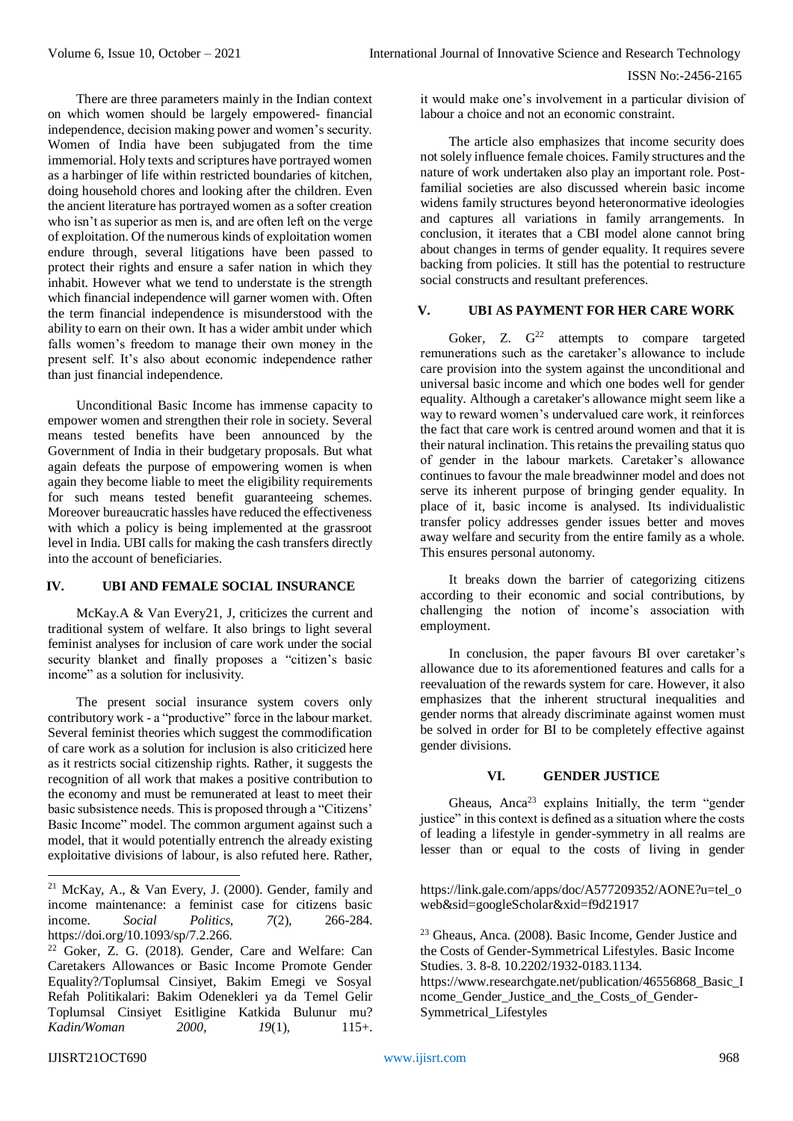There are three parameters mainly in the Indian context on which women should be largely empowered- financial independence, decision making power and women's security. Women of India have been subjugated from the time immemorial. Holy texts and scriptures have portrayed women as a harbinger of life within restricted boundaries of kitchen, doing household chores and looking after the children. Even the ancient literature has portrayed women as a softer creation who isn't as superior as men is, and are often left on the verge of exploitation. Of the numerous kinds of exploitation women endure through, several litigations have been passed to protect their rights and ensure a safer nation in which they inhabit. However what we tend to understate is the strength which financial independence will garner women with. Often the term financial independence is misunderstood with the ability to earn on their own. It has a wider ambit under which falls women's freedom to manage their own money in the present self. It's also about economic independence rather than just financial independence.

Unconditional Basic Income has immense capacity to empower women and strengthen their role in society. Several means tested benefits have been announced by the Government of India in their budgetary proposals. But what again defeats the purpose of empowering women is when again they become liable to meet the eligibility requirements for such means tested benefit guaranteeing schemes. Moreover bureaucratic hassles have reduced the effectiveness with which a policy is being implemented at the grassroot level in India. UBI calls for making the cash transfers directly into the account of beneficiaries.

# **IV. UBI AND FEMALE SOCIAL INSURANCE**

McKay.A & Van Every21, J, criticizes the current and traditional system of welfare. It also brings to light several feminist analyses for inclusion of care work under the social security blanket and finally proposes a "citizen's basic income" as a solution for inclusivity.

The present social insurance system covers only contributory work - a "productive" force in the labour market. Several feminist theories which suggest the commodification of care work as a solution for inclusion is also criticized here as it restricts social citizenship rights. Rather, it suggests the recognition of all work that makes a positive contribution to the economy and must be remunerated at least to meet their basic subsistence needs. This is proposed through a "Citizens' Basic Income" model. The common argument against such a model, that it would potentially entrench the already existing exploitative divisions of labour, is also refuted here. Rather,

The article also emphasizes that income security does not solely influence female choices. Family structures and the nature of work undertaken also play an important role. Postfamilial societies are also discussed wherein basic income widens family structures beyond heteronormative ideologies and captures all variations in family arrangements. In conclusion, it iterates that a CBI model alone cannot bring about changes in terms of gender equality. It requires severe backing from policies. It still has the potential to restructure social constructs and resultant preferences.

# **V. UBI AS PAYMENT FOR HER CARE WORK**

Goker, Z.  $G^{22}$  attempts to compare targeted remunerations such as the caretaker's allowance to include care provision into the system against the unconditional and universal basic income and which one bodes well for gender equality. Although a caretaker's allowance might seem like a way to reward women's undervalued care work, it reinforces the fact that care work is centred around women and that it is their natural inclination. This retains the prevailing status quo of gender in the labour markets. Caretaker's allowance continues to favour the male breadwinner model and does not serve its inherent purpose of bringing gender equality. In place of it, basic income is analysed. Its individualistic transfer policy addresses gender issues better and moves away welfare and security from the entire family as a whole. This ensures personal autonomy.

It breaks down the barrier of categorizing citizens according to their economic and social contributions, by challenging the notion of income's association with employment.

In conclusion, the paper favours BI over caretaker's allowance due to its aforementioned features and calls for a reevaluation of the rewards system for care. However, it also emphasizes that the inherent structural inequalities and gender norms that already discriminate against women must be solved in order for BI to be completely effective against gender divisions.

# **VI. GENDER JUSTICE**

Gheaus, Anca<sup>23</sup> explains Initially, the term "gender justice" in this context is defined as a situation where the costs of leading a lifestyle in gender-symmetry in all realms are lesser than or equal to the costs of living in gender

https://link.gale.com/apps/doc/A577209352/AONE?u=tel\_o web&sid=googleScholar&xid=f9d21917

<sup>23</sup> Gheaus, Anca. (2008). Basic Income, Gender Justice and the Costs of Gender-Symmetrical Lifestyles. Basic Income Studies. 3. 8-8. 10.2202/1932-0183.1134.

https://www.researchgate.net/publication/46556868\_Basic\_I ncome\_Gender\_Justice\_and\_the\_Costs\_of\_Gender-Symmetrical\_Lifestyles

<sup>21</sup> McKay, A., & Van Every, J. (2000). Gender, family and income maintenance: a feminist case for citizens basic income. *Social Politics*, *7*(2), 266-284. https://doi.org/10.1093/sp/7.2.266.

<sup>22</sup> Goker, Z. G. (2018). Gender, Care and Welfare: Can Caretakers Allowances or Basic Income Promote Gender Equality?/Toplumsal Cinsiyet, Bakim Emegi ve Sosyal Refah Politikalari: Bakim Odenekleri ya da Temel Gelir Toplumsal Cinsiyet Esitligine Katkida Bulunur mu? *Kadin/Woman 2000*, *19*(1), 115+.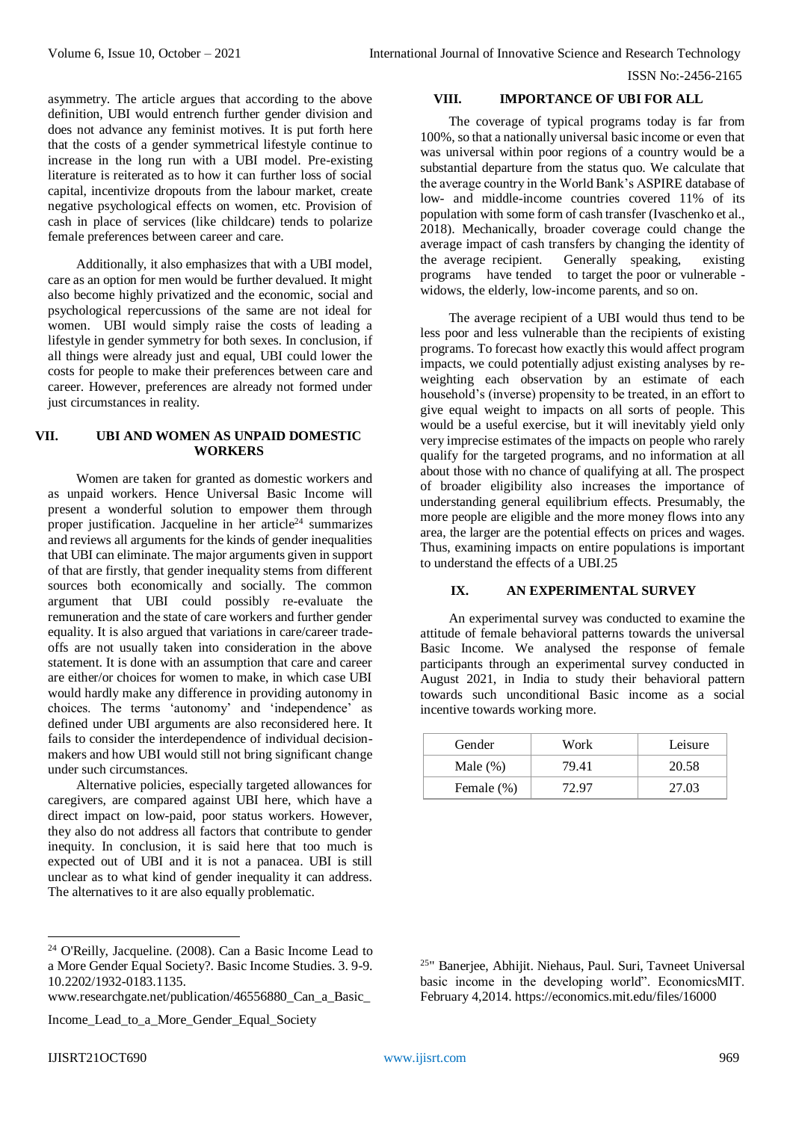asymmetry. The article argues that according to the above definition, UBI would entrench further gender division and does not advance any feminist motives. It is put forth here that the costs of a gender symmetrical lifestyle continue to increase in the long run with a UBI model. Pre-existing literature is reiterated as to how it can further loss of social capital, incentivize dropouts from the labour market, create negative psychological effects on women, etc. Provision of cash in place of services (like childcare) tends to polarize female preferences between career and care.

Additionally, it also emphasizes that with a UBI model, care as an option for men would be further devalued. It might also become highly privatized and the economic, social and psychological repercussions of the same are not ideal for women. UBI would simply raise the costs of leading a lifestyle in gender symmetry for both sexes. In conclusion, if all things were already just and equal, UBI could lower the costs for people to make their preferences between care and career. However, preferences are already not formed under just circumstances in reality.

# **VII. UBI AND WOMEN AS UNPAID DOMESTIC WORKERS**

Women are taken for granted as domestic workers and as unpaid workers. Hence Universal Basic Income will present a wonderful solution to empower them through proper justification. Jacqueline in her article<sup>24</sup> summarizes and reviews all arguments for the kinds of gender inequalities that UBI can eliminate. The major arguments given in support of that are firstly, that gender inequality stems from different sources both economically and socially. The common argument that UBI could possibly re-evaluate the remuneration and the state of care workers and further gender equality. It is also argued that variations in care/career tradeoffs are not usually taken into consideration in the above statement. It is done with an assumption that care and career are either/or choices for women to make, in which case UBI would hardly make any difference in providing autonomy in choices. The terms 'autonomy' and 'independence' as defined under UBI arguments are also reconsidered here. It fails to consider the interdependence of individual decisionmakers and how UBI would still not bring significant change under such circumstances.

Alternative policies, especially targeted allowances for caregivers, are compared against UBI here, which have a direct impact on low-paid, poor status workers. However, they also do not address all factors that contribute to gender inequity. In conclusion, it is said here that too much is expected out of UBI and it is not a panacea. UBI is still unclear as to what kind of gender inequality it can address. The alternatives to it are also equally problematic.

Income\_Lead\_to\_a\_More\_Gender\_Equal\_Society

-

# **VIII. IMPORTANCE OF UBI FOR ALL**

The coverage of typical programs today is far from 100%, so that a nationally universal basic income or even that was universal within poor regions of a country would be a substantial departure from the status quo. We calculate that the average country in the World Bank's ASPIRE database of low- and middle-income countries covered 11% of its population with some form of cash transfer (Ivaschenko et al., 2018). Mechanically, broader coverage could change the average impact of cash transfers by changing the identity of the average recipient. Generally speaking, existing programs have tended to target the poor or vulnerable widows, the elderly, low-income parents, and so on.

The average recipient of a UBI would thus tend to be less poor and less vulnerable than the recipients of existing programs. To forecast how exactly this would affect program impacts, we could potentially adjust existing analyses by reweighting each observation by an estimate of each household's (inverse) propensity to be treated, in an effort to give equal weight to impacts on all sorts of people. This would be a useful exercise, but it will inevitably yield only very imprecise estimates of the impacts on people who rarely qualify for the targeted programs, and no information at all about those with no chance of qualifying at all. The prospect of broader eligibility also increases the importance of understanding general equilibrium effects. Presumably, the more people are eligible and the more money flows into any area, the larger are the potential effects on prices and wages. Thus, examining impacts on entire populations is important to understand the effects of a UBI.25

# **IX. AN EXPERIMENTAL SURVEY**

An experimental survey was conducted to examine the attitude of female behavioral patterns towards the universal Basic Income. We analysed the response of female participants through an experimental survey conducted in August 2021, in India to study their behavioral pattern towards such unconditional Basic income as a social incentive towards working more.

| Gender      | Work  | Leisure |
|-------------|-------|---------|
| Male $(\%)$ | 79.41 | 20.58   |
| Female (%)  | 72.97 | 27.03   |

25 " Banerjee, Abhijit. Niehaus, Paul. Suri, Tavneet Universal basic income in the developing world". EconomicsMIT. February 4,2014. https://economics.mit.edu/files/16000

<sup>24</sup> O'Reilly, Jacqueline. (2008). Can a Basic Income Lead to a More Gender Equal Society?. Basic Income Studies. 3. 9-9. 10.2202/1932-0183.1135.

www.researchgate.net/publication/46556880\_Can\_a\_Basic\_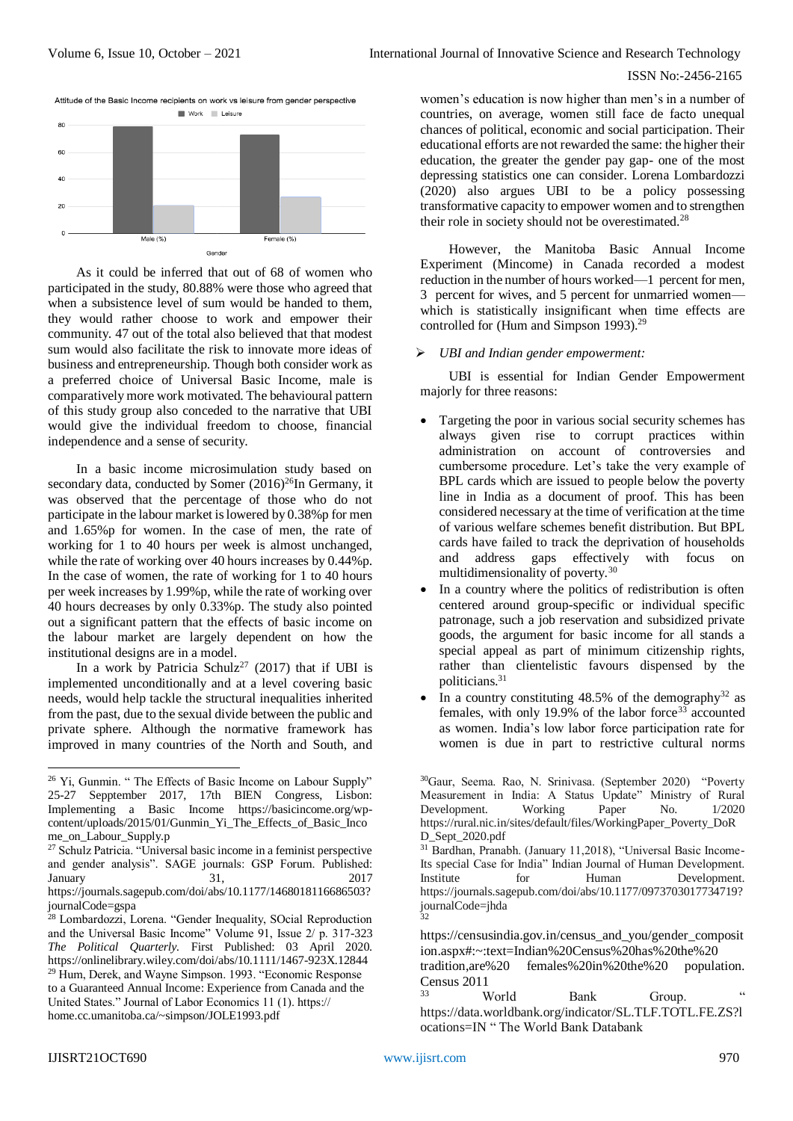

As it could be inferred that out of 68 of women who participated in the study, 80.88% were those who agreed that when a subsistence level of sum would be handed to them, they would rather choose to work and empower their community. 47 out of the total also believed that that modest sum would also facilitate the risk to innovate more ideas of business and entrepreneurship. Though both consider work as a preferred choice of Universal Basic Income, male is comparatively more work motivated. The behavioural pattern of this study group also conceded to the narrative that UBI would give the individual freedom to choose, financial independence and a sense of security.

In a basic income microsimulation study based on secondary data, conducted by Somer  $(2016)^{26}$ In Germany, it was observed that the percentage of those who do not participate in the labour market is lowered by 0.38%p for men and 1.65%p for women. In the case of men, the rate of working for 1 to 40 hours per week is almost unchanged, while the rate of working over 40 hours increases by 0.44%p. In the case of women, the rate of working for 1 to 40 hours per week increases by 1.99%p, while the rate of working over 40 hours decreases by only 0.33%p. The study also pointed out a significant pattern that the effects of basic income on the labour market are largely dependent on how the institutional designs are in a model.

In a work by Patricia Schulz<sup>27</sup> (2017) that if UBI is implemented unconditionally and at a level covering basic needs, would help tackle the structural inequalities inherited from the past, due to the sexual divide between the public and private sphere. Although the normative framework has improved in many countries of the North and South, and

women's education is now higher than men's in a number of countries, on average, women still face de facto unequal chances of political, economic and social participation. Their educational efforts are not rewarded the same: the higher their education, the greater the gender pay gap- one of the most depressing statistics one can consider. Lorena Lombardozzi (2020) also argues UBI to be a policy possessing transformative capacity to empower women and to strengthen their role in society should not be overestimated.<sup>28</sup>

However, the Manitoba Basic Annual Income Experiment (Mincome) in Canada recorded a modest reduction in the number of hours worked—1 percent for men, 3 percent for wives, and 5 percent for unmarried women which is statistically insignificant when time effects are controlled for (Hum and Simpson 1993).<sup>29</sup>

#### *UBI and Indian gender empowerment:*

UBI is essential for Indian Gender Empowerment majorly for three reasons:

- Targeting the poor in various social security schemes has always given rise to corrupt practices within administration on account of controversies and cumbersome procedure. Let's take the very example of BPL cards which are issued to people below the poverty line in India as a document of proof. This has been considered necessary at the time of verification at the time of various welfare schemes benefit distribution. But BPL cards have failed to track the deprivation of households and address gaps effectively with focus on multidimensionality of poverty.<sup>30</sup>
- In a country where the politics of redistribution is often centered around group-specific or individual specific patronage, such a job reservation and subsidized private goods, the argument for basic income for all stands a special appeal as part of minimum citizenship rights, rather than clientelistic favours dispensed by the politicians. 31
- In a country constituting  $48.5\%$  of the demography<sup>32</sup> as females, with only 19.9% of the labor force<sup>33</sup> accounted as women. India's low labor force participation rate for women is due in part to restrictive cultural norms

<sup>30</sup>Gaur, Seema. Rao, N. Srinivasa. (September 2020) "Poverty Measurement in India: A Status Update" Ministry of Rural Development. Working Paper No. 1/2020 [https://rural.nic.in/sites/default/files/WorkingPaper\\_Poverty\\_DoR](https://rural.nic.in/sites/default/files/WorkingPaper_Poverty_DoRD_Sept_2020.pdf) [D\\_Sept\\_2020.pdf](https://rural.nic.in/sites/default/files/WorkingPaper_Poverty_DoRD_Sept_2020.pdf)

<sup>31</sup> Bardhan, Pranabh. (January 11,2018), "Universal Basic Income-Its special Case for India" Indian Journal of Human Development. Institute for Human Development. [https://journals.sagepub.com/doi/abs/10.1177/0973703017734719?](https://journals.sagepub.com/doi/abs/10.1177/0973703017734719?journalCode=jhda) [journalCode=jhda](https://journals.sagepub.com/doi/abs/10.1177/0973703017734719?journalCode=jhda) 32

https://censusindia.gov.in/census\_and\_you/gender\_composit ion.aspx#:~:text=Indian%20Census%20has%20the%20

tradition,are%20 females%20in%20the%20 population. Census  $2011$ 

World Bank Group. " [https://data.worldbank.org/indicator/SL.TLF.TOTL.FE.ZS?l](https://data.worldbank.org/indicator/SL.TLF.TOTL.FE.ZS?locations=IN) [ocations=IN](https://data.worldbank.org/indicator/SL.TLF.TOTL.FE.ZS?locations=IN) " The World Bank Databank

<sup>&</sup>lt;sup>26</sup> Yi, Gunmin. " The Effects of Basic Income on Labour Supply" 25-27 Sepptember 2017, 17th BIEN Congress, Lisbon: Implementing a Basic Income [https://basicincome.org/wp](https://basicincome.org/wp-content/uploads/2015/01/Gunmin_Yi_The_Effects_of_Basic_Income_on_Labour_Supply.pdf)[content/uploads/2015/01/Gunmin\\_Yi\\_The\\_Effects\\_of\\_Basic\\_Inco](https://basicincome.org/wp-content/uploads/2015/01/Gunmin_Yi_The_Effects_of_Basic_Income_on_Labour_Supply.pdf) [me\\_on\\_Labour\\_Supply.p](https://basicincome.org/wp-content/uploads/2015/01/Gunmin_Yi_The_Effects_of_Basic_Income_on_Labour_Supply.pdf)

<sup>27</sup> Schulz Patricia. "Universal basic income in a feminist perspective and gender analysis". SAGE journals: GSP Forum. Published: January 31, 2017 [https://journals.sagepub.com/doi/abs/10.1177/1468018116686503?](https://journals.sagepub.com/doi/abs/10.1177/1468018116686503?journalCode=gspa) [journalCode=gspa](https://journals.sagepub.com/doi/abs/10.1177/1468018116686503?journalCode=gspa)

<sup>28</sup> Lombardozzi, Lorena. "Gender Inequality, SOcial Reproduction and the Universal Basic Income" Volume 91, Issue 2/ p. 317-323 *The Political Quarterly.* First Published: 03 April 2020. https://onlinelibrary.wiley.com/doi/abs/10.1111/1467-923X.12844 <sup>29</sup> Hum, Derek, and Wayne Simpson. 1993. "Economic Response to a Guaranteed Annual Income: Experience from Canada and the United States." Journal of Labor Economics 11 (1). https:// home.cc.umanitoba.ca/~simpson/JOLE1993.pdf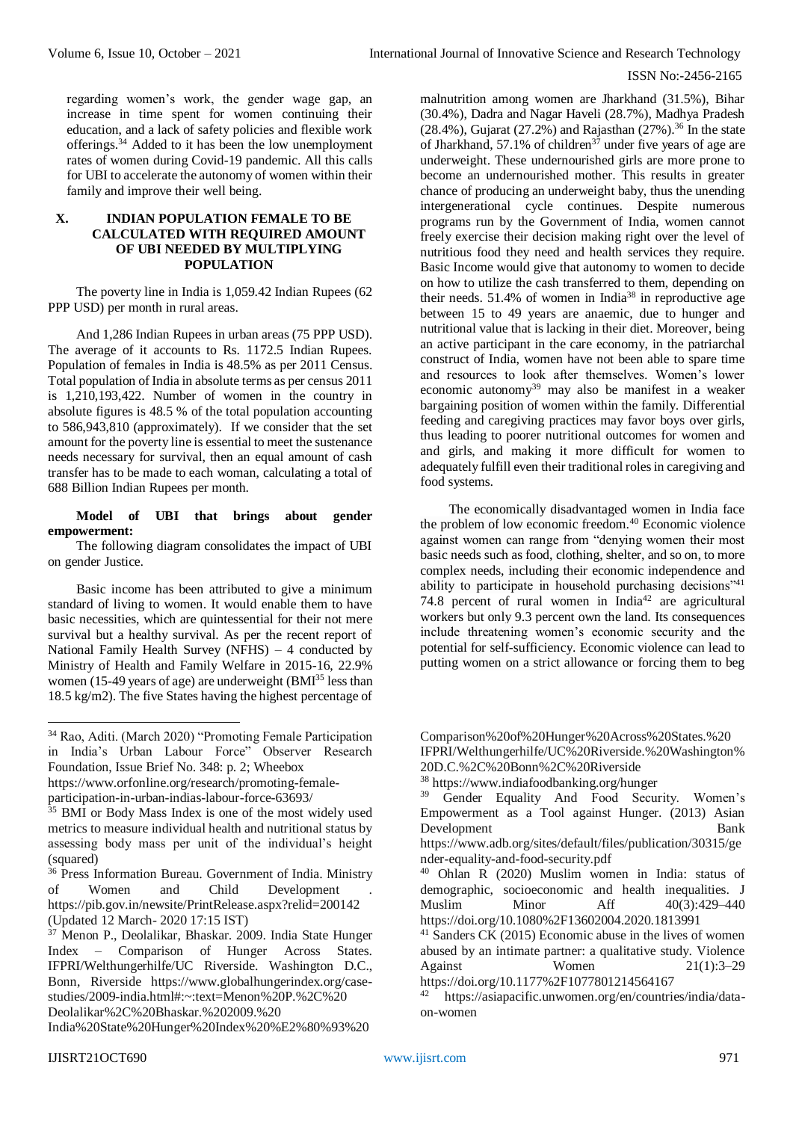regarding women's work, the gender wage gap, an increase in time spent for women continuing their education, and a lack of safety policies and flexible work offerings.<sup>34</sup> Added to it has been the low unemployment rates of women during Covid-19 pandemic. All this calls for UBI to accelerate the autonomy of women within their family and improve their well being.

# **X. INDIAN POPULATION FEMALE TO BE CALCULATED WITH REQUIRED AMOUNT OF UBI NEEDED BY MULTIPLYING POPULATION**

The poverty line in India is 1,059.42 Indian Rupees (62 PPP USD) per month in rural areas.

And 1,286 Indian Rupees in urban areas (75 PPP USD). The average of it accounts to Rs. 1172.5 Indian Rupees. Population of females in India is 48.5% as per 2011 Census. Total population of India in absolute terms as per census 2011 is 1,210,193,422. Number of women in the country in absolute figures is 48.5 % of the total population accounting to 586,943,810 (approximately). If we consider that the set amount for the poverty line is essential to meet the sustenance needs necessary for survival, then an equal amount of cash transfer has to be made to each woman, calculating a total of 688 Billion Indian Rupees per month.

#### **Model of UBI that brings about gender empowerment:**

The following diagram consolidates the impact of UBI on gender Justice.

Basic income has been attributed to give a minimum standard of living to women. It would enable them to have basic necessities, which are quintessential for their not mere survival but a healthy survival. As per the recent report of National Family Health Survey (NFHS) – 4 conducted by Ministry of Health and Family Welfare in 2015-16, 22.9% women (15-49 years of age) are underweight (BMI<sup>35</sup> less than 18.5 kg/m2). The five States having the highest percentage of

https://www.orfonline.org/research/promoting-femaleparticipation-in-urban-indias-labour-force-63693/

<sup>37</sup> Menon P., Deolalikar, Bhaskar. 2009. India State Hunger Index – Comparison of Hunger Across States. IFPRI/Welthungerhilfe/UC Riverside. Washington D.C., Bonn, Riverside https://www.globalhungerindex.org/casestudies/2009-india.html#:~:text=Menon%20P.%2C%20 Deolalikar%2C%20Bhaskar.%202009.%20

India%20State%20Hunger%20Index%20%E2%80%93%20

malnutrition among women are Jharkhand (31.5%), Bihar (30.4%), Dadra and Nagar Haveli (28.7%), Madhya Pradesh (28.4%), Gujarat (27.2%) and Rajasthan (27%).<sup>36</sup> In the state of Jharkhand, 57.1% of children<sup>37</sup> under five years of age are underweight. These undernourished girls are more prone to become an undernourished mother. This results in greater chance of producing an underweight baby, thus the unending intergenerational cycle continues. Despite numerous programs run by the Government of India, women cannot freely exercise their decision making right over the level of nutritious food they need and health services they require. Basic Income would give that autonomy to women to decide on how to utilize the cash transferred to them, depending on their needs.  $51.4\%$  of women in India<sup>38</sup> in reproductive age between 15 to 49 years are anaemic, due to hunger and nutritional value that is lacking in their diet. Moreover, being an active participant in the care economy, in the patriarchal construct of India, women have not been able to spare time and resources to look after themselves. Women's lower economic autonomy<sup>39</sup> may also be manifest in a weaker bargaining position of women within the family. Differential feeding and caregiving practices may favor boys over girls, thus leading to poorer nutritional outcomes for women and and girls, and making it more difficult for women to adequately fulfill even their traditional roles in caregiving and food systems.

The economically disadvantaged women in India face the problem of low economic freedom.<sup>40</sup> Economic violence against women can range from "denying women their most basic needs such as food, clothing, shelter, and so on, to more complex needs, including their economic independence and ability to participate in household purchasing decisions"<sup>41</sup> 74.8 percent of rural women in  $\text{India}^{42}$  are agricultural workers but only 9.3 percent own the land. Its consequences include threatening women's economic security and the potential for self-sufficiency. Economic violence can lead to putting women on a strict allowance or forcing them to beg

<sup>34</sup> Rao, Aditi. (March 2020) "Promoting Female Participation in India's Urban Labour Force" Observer Research Foundation, Issue Brief No. 348: p. 2; Wheebox

<sup>&</sup>lt;sup>35</sup> BMI or Body Mass Index is one of the most widely used metrics to measure individual health and nutritional status by assessing body mass per unit of the individual's height (squared)

<sup>&</sup>lt;sup>36</sup> Press Information Bureau. Government of India. Ministry of Women and Child Development . <https://pib.gov.in/newsite/PrintRelease.aspx?relid=200142> (Updated 12 March- 2020 17:15 IST)

Comparison%20of%20Hunger%20Across%20States.%20 IFPRI/Welthungerhilfe/UC%20Riverside.%20Washington% 20D.C.%2C%20Bonn%2C%20Riverside

<sup>38</sup> <https://www.indiafoodbanking.org/hunger>

<sup>&</sup>lt;sup>39</sup> Gender Equality And Food Security. Women's Empowerment as a Tool against Hunger. (2013) Asian Development Bank

https://www.adb.org/sites/default/files/publication/30315/ge nder-equality-and-food-security.pdf

<sup>40</sup> Ohlan R (2020) Muslim women in India: status of demographic, socioeconomic and health inequalities. J Muslim Minor Aff 40(3):429–440 <https://doi.org/10.1080%2F13602004.2020.1813991>

<sup>41</sup> Sanders CK (2015) Economic abuse in the lives of women abused by an intimate partner: a qualitative study. Violence Against Women 21(1):3–29

<https://doi.org/10.1177%2F1077801214564167>

https://asiapacific.unwomen.org/en/countries/india/dataon-women